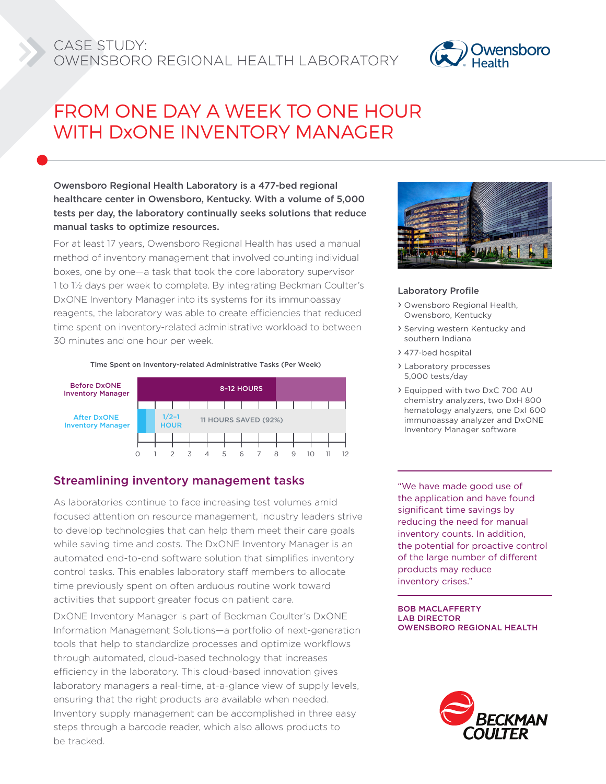## CASE STUDY: OWENSBORO REGIONAL HEALTH LABORATORY



# FROM ONE DAY A WEEK TO ONE HOUR WITH DxONE INVENTORY MANAGER

### Owensboro Regional Health Laboratory is a 477-bed regional healthcare center in Owensboro, Kentucky. With a volume of 5,000 tests per day, the laboratory continually seeks solutions that reduce manual tasks to optimize resources.

For at least 17 years, Owensboro Regional Health has used a manual method of inventory management that involved counting individual boxes, one by one—a task that took the core laboratory supervisor 1 to 1½ days per week to complete. By integrating Beckman Coulter's DxONE Inventory Manager into its systems for its immunoassay reagents, the laboratory was able to create efficiencies that reduced time spent on inventory-related administrative workload to between 30 minutes and one hour per week.





### Streamlining inventory management tasks

As laboratories continue to face increasing test volumes amid focused attention on resource management, industry leaders strive to develop technologies that can help them meet their care goals while saving time and costs. The DxONE Inventory Manager is an automated end-to-end software solution that simplifies inventory control tasks. This enables laboratory staff members to allocate time previously spent on often arduous routine work toward activities that support greater focus on patient care.

DxONE Inventory Manager is part of Beckman Coulter's DxONE Information Management Solutions—a portfolio of next-generation tools that help to standardize processes and optimize workflows through automated, cloud-based technology that increases efficiency in the laboratory. This cloud-based innovation gives laboratory managers a real-time, at-a-glance view of supply levels, ensuring that the right products are available when needed. Inventory supply management can be accomplished in three easy steps through a barcode reader, which also allows products to be tracked.



### Laboratory Profile

- › Owensboro Regional Health, Owensboro, Kentucky
- › Serving western Kentucky and southern Indiana
- › 477-bed hospital
- › Laboratory processes 5,000 tests/day
- › Equipped with two DxC 700 AU chemistry analyzers, two DxH 800 hematology analyzers, one DxI 600 immunoassay analyzer and DxONE Inventory Manager software

"We have made good use of the application and have found significant time savings by reducing the need for manual inventory counts. In addition, the potential for proactive control of the large number of different products may reduce inventory crises."

BOB MACLAFFERTY LAB DIRECTOR OWENSBORO REGIONAL HEALTH